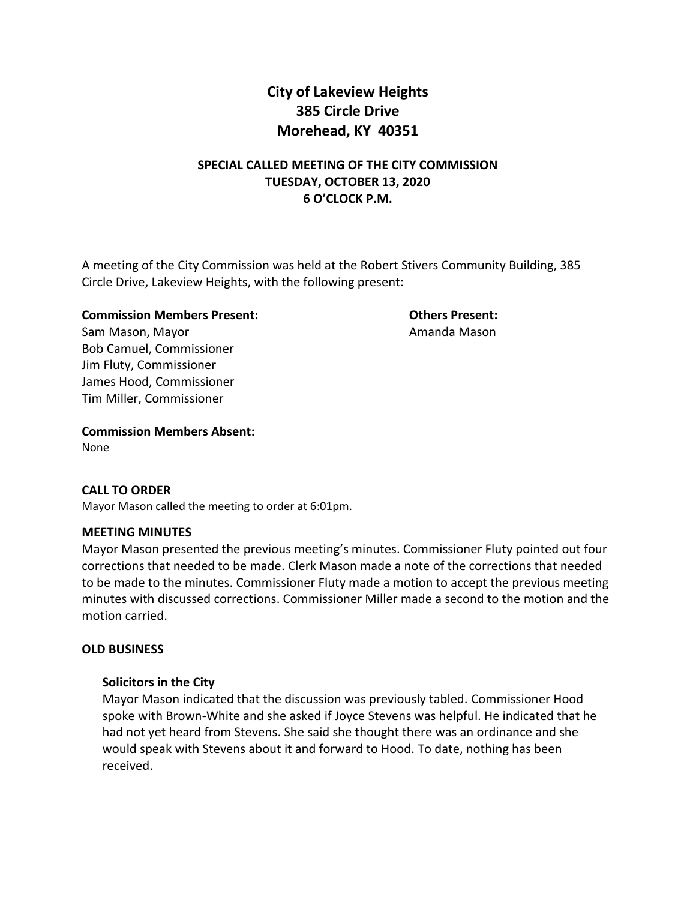# **City of Lakeview Heights 385 Circle Drive Morehead, KY 40351**

# **SPECIAL CALLED MEETING OF THE CITY COMMISSION TUESDAY, OCTOBER 13, 2020 6 O'CLOCK P.M.**

A meeting of the City Commission was held at the Robert Stivers Community Building, 385 Circle Drive, Lakeview Heights, with the following present:

#### **Commission Members Present: Others Present:**

Sam Mason, Mayor **Amanda Mason** Bob Camuel, Commissioner Jim Fluty, Commissioner James Hood, Commissioner Tim Miller, Commissioner

**Commission Members Absent:** None

# **CALL TO ORDER**

Mayor Mason called the meeting to order at 6:01pm.

#### **MEETING MINUTES**

Mayor Mason presented the previous meeting's minutes. Commissioner Fluty pointed out four corrections that needed to be made. Clerk Mason made a note of the corrections that needed to be made to the minutes. Commissioner Fluty made a motion to accept the previous meeting minutes with discussed corrections. Commissioner Miller made a second to the motion and the motion carried.

# **OLD BUSINESS**

#### **Solicitors in the City**

Mayor Mason indicated that the discussion was previously tabled. Commissioner Hood spoke with Brown-White and she asked if Joyce Stevens was helpful. He indicated that he had not yet heard from Stevens. She said she thought there was an ordinance and she would speak with Stevens about it and forward to Hood. To date, nothing has been received.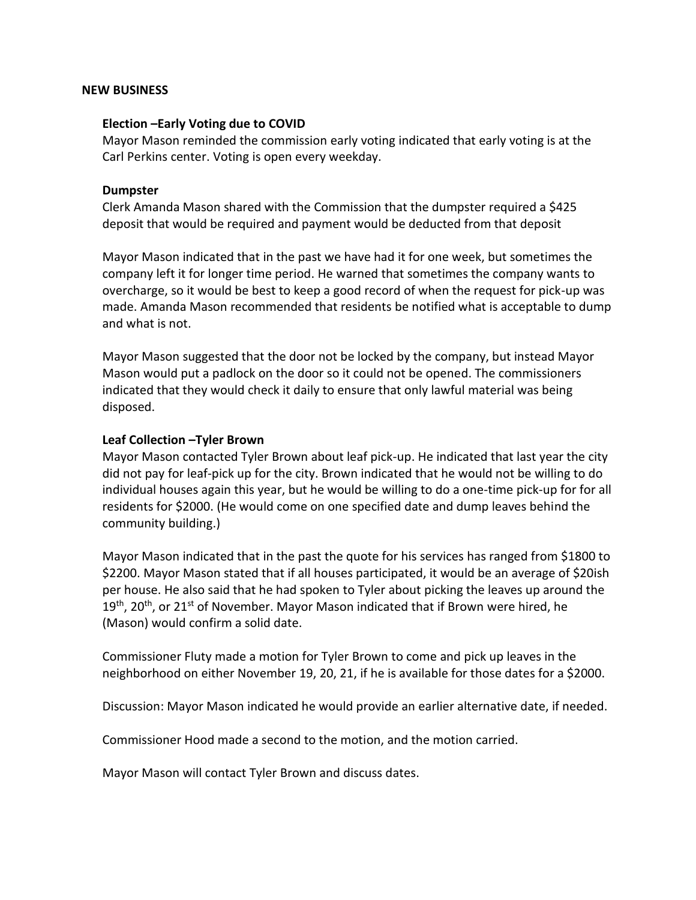#### **NEW BUSINESS**

#### **Election –Early Voting due to COVID**

Mayor Mason reminded the commission early voting indicated that early voting is at the Carl Perkins center. Voting is open every weekday.

#### **Dumpster**

Clerk Amanda Mason shared with the Commission that the dumpster required a \$425 deposit that would be required and payment would be deducted from that deposit

Mayor Mason indicated that in the past we have had it for one week, but sometimes the company left it for longer time period. He warned that sometimes the company wants to overcharge, so it would be best to keep a good record of when the request for pick-up was made. Amanda Mason recommended that residents be notified what is acceptable to dump and what is not.

Mayor Mason suggested that the door not be locked by the company, but instead Mayor Mason would put a padlock on the door so it could not be opened. The commissioners indicated that they would check it daily to ensure that only lawful material was being disposed.

#### **Leaf Collection –Tyler Brown**

Mayor Mason contacted Tyler Brown about leaf pick-up. He indicated that last year the city did not pay for leaf-pick up for the city. Brown indicated that he would not be willing to do individual houses again this year, but he would be willing to do a one-time pick-up for for all residents for \$2000. (He would come on one specified date and dump leaves behind the community building.)

Mayor Mason indicated that in the past the quote for his services has ranged from \$1800 to \$2200. Mayor Mason stated that if all houses participated, it would be an average of \$20ish per house. He also said that he had spoken to Tyler about picking the leaves up around the  $19<sup>th</sup>$ , 20<sup>th</sup>, or 21<sup>st</sup> of November. Mayor Mason indicated that if Brown were hired, he (Mason) would confirm a solid date.

Commissioner Fluty made a motion for Tyler Brown to come and pick up leaves in the neighborhood on either November 19, 20, 21, if he is available for those dates for a \$2000.

Discussion: Mayor Mason indicated he would provide an earlier alternative date, if needed.

Commissioner Hood made a second to the motion, and the motion carried.

Mayor Mason will contact Tyler Brown and discuss dates.